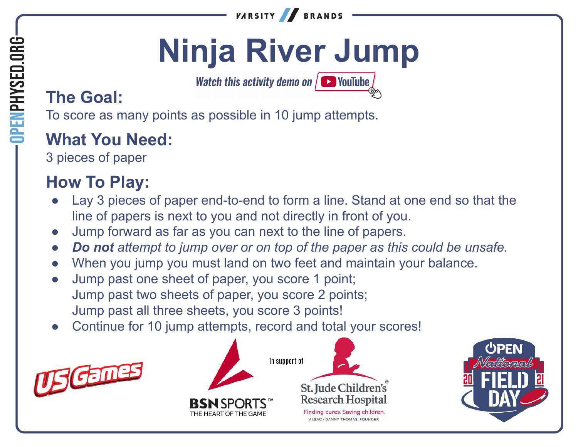

# **Ninja River Jump**

Watch this activity demo on  $\sqrt{ }$  YouTube

### **The Goal:**

To score as many points as possible in 10 jump attempts.

### **What You Need:**

3 pieces of paper

### **How To Play:**

- Lay 3 pieces of paper end-to-end to form a line. Stand at one end so that the line of papers is next to you and not directly in front of you.
- Jump forward as far as you can next to the line of papers.
- *● Do not attempt to jump over or on top of the paper as this could be unsafe.*
- When you jump you must land on two feet and maintain your balance.
- Jump past one sheet of paper, you score 1 point; Jump past two sheets of paper, you score 2 points; Jump past all three sheets, you score 3 points!
- Continue for 10 jump attempts, record and total your scores!







ALSAC · DANNY THOMAS, FOUNDEL

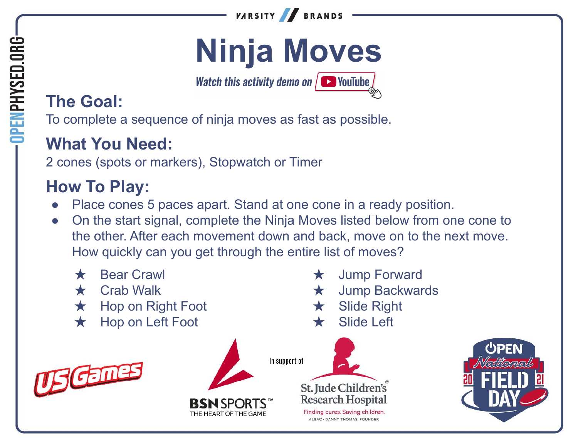

## **Ninja Moves**

Watch this activity demo on  $\sqrt{ }$  VouTube

### **The Goal:**

To complete a sequence of ninja moves as fast as possible.

### **What You Need:**

2 cones (spots or markers), Stopwatch or Timer

### **How To Play:**

- Place cones 5 paces apart. Stand at one cone in a ready position.
- On the start signal, complete the Ninja Moves listed below from one cone to the other. After each movement down and back, move on to the next move. How quickly can you get through the entire list of moves?

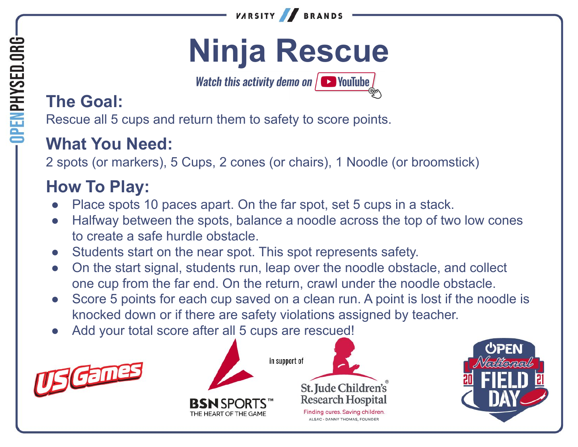

## **Ninja Rescue**

Watch this activity demo on  $\sqrt{ }$  VouTube

### **The Goal:**

OPENPHYSED.ORG

Rescue all 5 cups and return them to safety to score points.

### **What You Need:**

2 spots (or markers), 5 Cups, 2 cones (or chairs), 1 Noodle (or broomstick)

### **How To Play:**

- Place spots 10 paces apart. On the far spot, set 5 cups in a stack.
- Halfway between the spots, balance a noodle across the top of two low cones to create a safe hurdle obstacle.
- Students start on the near spot. This spot represents safety.
- On the start signal, students run, leap over the noodle obstacle, and collect one cup from the far end. On the return, crawl under the noodle obstacle.
- Score 5 points for each cup saved on a clean run. A point is lost if the noodle is knocked down or if there are safety violations assigned by teacher.
- Add your total score after all 5 cups are rescued!